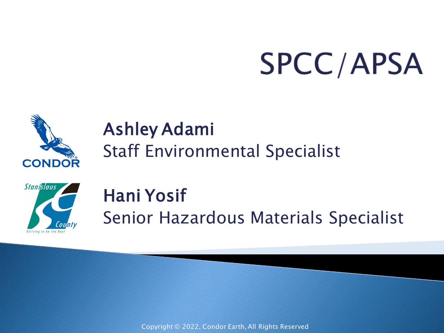# **SPCC/APSA**



#### Ashley Adami Staff Environmental Specialist



#### Hani Yosif Senior Hazardous Materials Specialist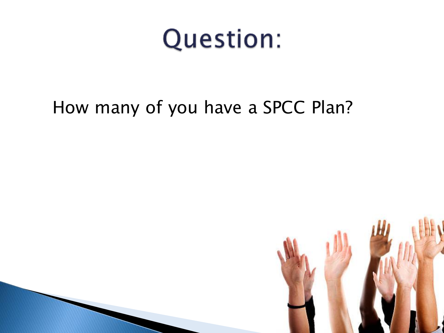#### **Question:**

#### How many of you have a SPCC Plan?

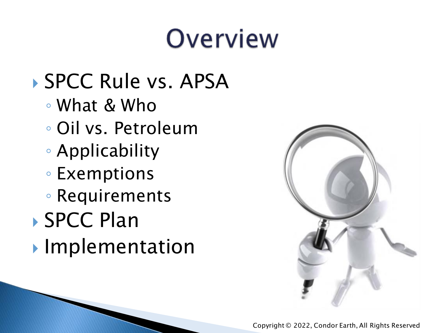#### Overview

#### ▶ SPCC Rule vs. APSA

- What & Who
- Oil vs. Petroleum
- Applicability
- Exemptions
- Requirements
- SPCC Plan
- **Implementation**

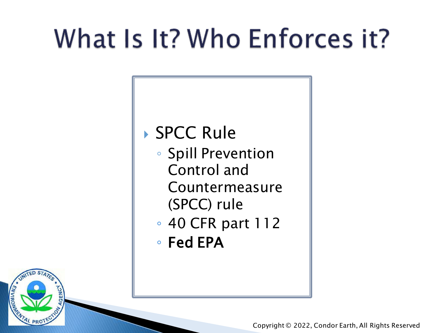# What Is It? Who Enforces it?

#### ▶ SPCC Rule

- Spill Prevention Control and Countermeasure (SPCC) rule
- 40 CFR part 112
- Fed EPA



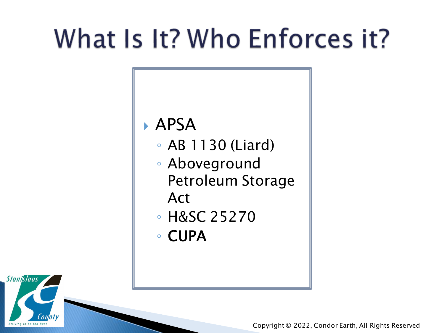### What Is It? Who Enforces it?

#### APSA

- AB 1130 (Liard)
- Aboveground Petroleum Storage
	- Act
- H&SC 25270
- CUPA

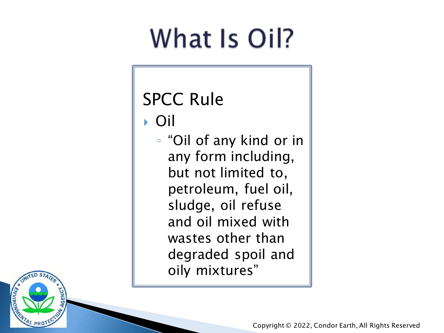### What Is Oil?

#### SPCC Rule

Oil

◦ "Oil of any kind or in any form including, but not limited to, petroleum, fuel oil, sludge, oil refuse and oil mixed with wastes other than degraded spoil and oily mixtures"

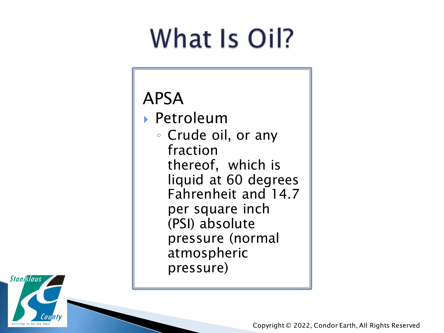### What Is Oil?

#### APSA

 Petroleum ◦ Crude oil, or any fraction thereof, which is liquid at 60 degrees Fahrenheit and 14.7 per square inch (PSI) absolute pressure (normal atmospheric pressure)

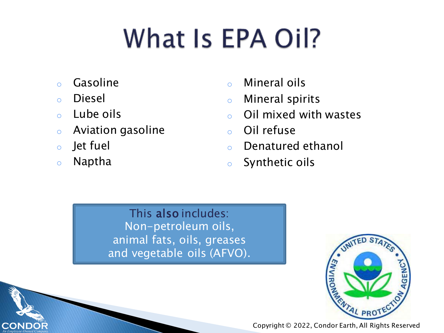# What Is EPA Oil?

- o Gasoline
- o Diesel
- o Lube oils
- o Aviation gasoline
- o Jet fuel
- o Naptha

**CONDO** 

- o Mineral oils
- o Mineral spirits
- o Oil mixed with wastes
- o Oil refuse
- o Denatured ethanol
- o Synthetic oils

This also includes: Non-petroleum oils, animal fats, oils, greases and vegetable oils (AFVO).

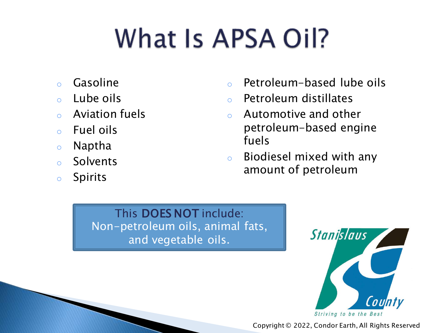# What Is APSA Oil?

- o Gasoline
- o Lube oils
- o Aviation fuels
- o Fuel oils
- o Naptha
- o Solvents
- o Spirits
- o Petroleum-based lube oils
- o Petroleum distillates
- o Automotive and other petroleum-based engine fuels
- o Biodiesel mixed with any amount of petroleum

This DOES NOT include: Non-petroleum oils, animal fats, and vegetable oils.

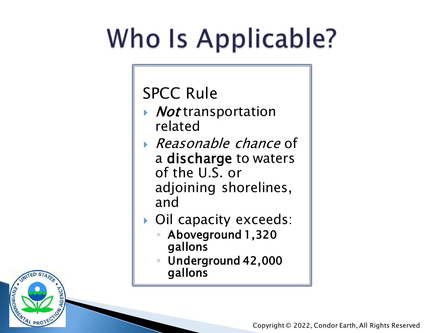# Who Is Applicable?

SPCC Rule

- ▶ *Not* transportation related
- Reasonable chance of a discharge to waters of the U.S. or adjoining shorelines, and
- Oil capacity exceeds:
	- Aboveground 1,320 gallons
	- Underground 42,000 gallons

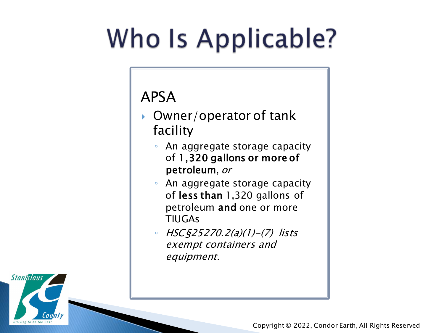# Who Is Applicable?

#### APSA

- Owner/operator of tank facility
	- An aggregate storage capacity of 1,320 gallons or more of petroleum, or
	- An aggregate storage capacity of less than 1,320 gallons of petroleum and one or more TIUGAs
	- HSC§25270.2(a)(1)-(7) lists exempt containers and equipment.

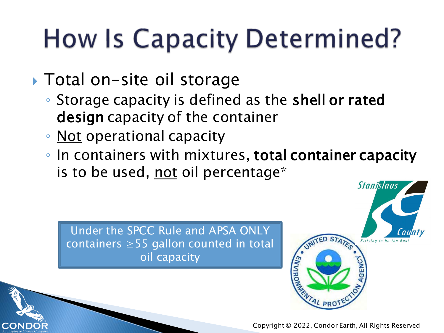### **How Is Capacity Determined?**

- ▶ Total on-site oil storage
	- Storage capacity is defined as the shell or rated design capacity of the container
	- Not operational capacity
	- In containers with mixtures, total container capacity is to be used, not oil percentage\*

Under the SPCC Rule and APSA ONLY  $\parallel$  containers  $\geq$ 55 gallon counted in total capacity oil capacity

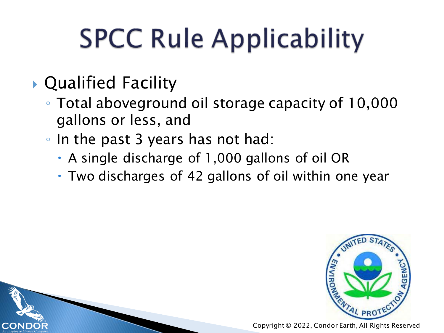# **SPCC Rule Applicability**

#### Qualified Facility

- Total aboveground oil storage capacity of 10,000 gallons or less, and
- In the past 3 years has not had:
	- A single discharge of 1,000 gallons of oil OR
	- Two discharges of 42 gallons of oil within one year

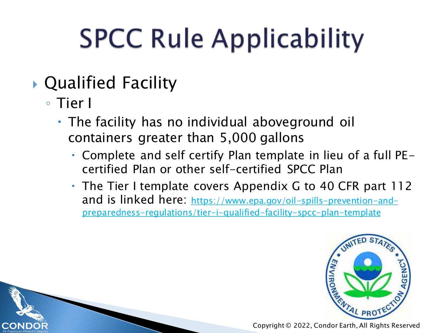# **SPCC Rule Applicability**

#### Qualified Facility

◦ Tier I

COND

- The facility has no individual aboveground oil containers greater than 5,000 gallons
	- Complete and self certify Plan template in lieu of a full PEcertified Plan or other self-certified SPCC Plan
	- The Tier I template covers Appendix G to 40 CFR part 112 and is linked here: https://www.epa.gov/oil-spills-prevention-and[preparedness-regulations/tier-i-qualified-facility-spcc-plan-template](https://www.epa.gov/oil-spills-prevention-and-preparedness-regulations/tier-i-qualified-facility-spcc-plan-template)

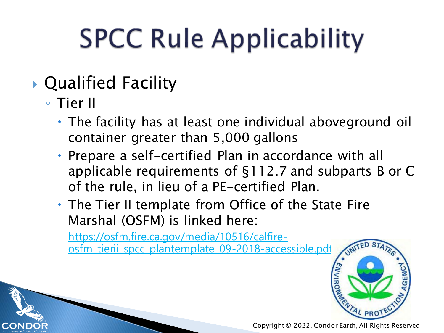# **SPCC Rule Applicability**

#### Qualified Facility

◦ Tier II

COND

- The facility has at least one individual aboveground oil container greater than 5,000 gallons
- Prepare a self-certified Plan in accordance with all applicable requirements of §112.7 and subparts B or C of the rule, in lieu of a PE-certified Plan.
- The Tier II template from Office of the State Fire Marshal (OSFM) is linked here:

https://osfm.fire.ca.gov/media/10516/calfire[osfm\\_tierii\\_spcc\\_plantemplate\\_09-2018-accessible.pdf](https://osfm.fire.ca.gov/media/10516/calfire-osfm_tierii_spcc_plantemplate_09-2018-accessible.pdf)

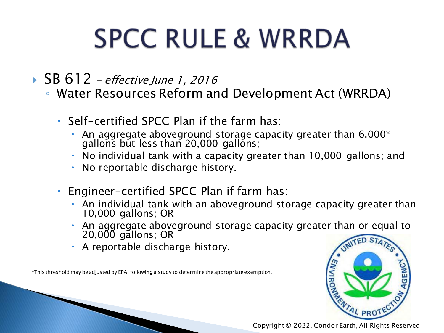### **SPCC RULE & WRRDA**

▶ SB 612 – effective June 1, 2016

- Water Resources Reform and Development Act (WRRDA)
	- $\cdot$  Self-certified SPCC Plan if the farm has:
		- An aggregate aboveground storage capacity greater than  $6,000^*$ gallons but less than 20,000 gallons;
		- No individual tank with a capacity greater than 10,000 gallons; and
		- No reportable discharge history.
	- Engineer-certified SPCC Plan if farm has:
		- An individual tank with an aboveground storage capacity greater than 10,000 gallons; OR
		- An aggregate aboveground storage capacity greater than or equal to 20,000 gallons; OR
		- A reportable discharge history.

\*This threshold may be adjusted by EPA, following a study to determine the appropriate exemption.

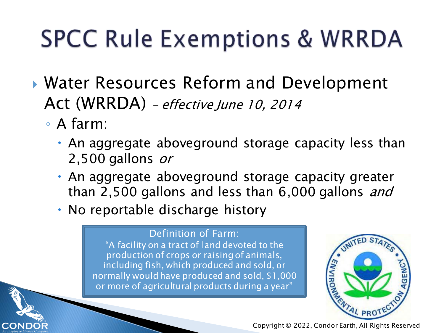#### **SPCC Rule Exemptions & WRRDA**

- Water Resources Reform and Development Act (WRRDA) – effective June 10, 2014
	- A farm:

COND

- An aggregate aboveground storage capacity less than 2,500 gallons or
- An aggregate aboveground storage capacity greater than 2,500 gallons and less than 6,000 gallons and
- No reportable discharge history

#### Definition of Farm:

"A facility on a tract of land devoted to the production of crops or raising of animals, including fish, which produced and sold, or normally would have produced and sold, \$1,000 or more of agricultural products during a year"



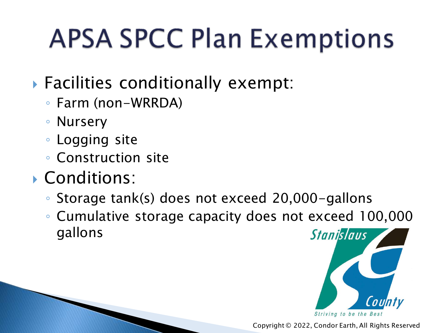### **APSA SPCC Plan Exemptions**

#### Facilities conditionally exempt:

- Farm (non-WRRDA)
- Nursery
- Logging site
- Construction site
- Conditions:
	- Storage tank(s) does not exceed 20,000-gallons
	- Cumulative storage capacity does not exceed 100,000 gallons **Stanislaus**

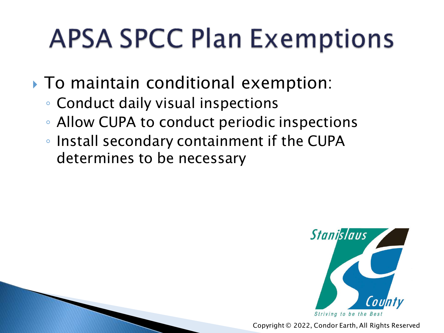### **APSA SPCC Plan Exemptions**

- ▶ To maintain conditional exemption:
	- Conduct daily visual inspections
	- Allow CUPA to conduct periodic inspections
	- Install secondary containment if the CUPA determines to be necessary

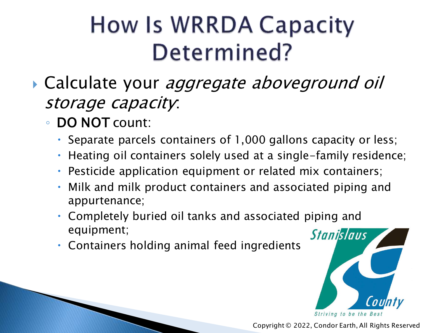#### How Is WRRDA Capacity Determined?

- Calculate your aggregate aboveground oil storage capacity:
	- DO NOT count:
		- Separate parcels containers of 1,000 gallons capacity or less;
		- Heating oil containers solely used at a single-family residence;
		- Pesticide application equipment or related mix containers;
		- Milk and milk product containers and associated piping and appurtenance;
		- Completely buried oil tanks and associated piping and equipment;
		- Containers holding animal feed ingredients

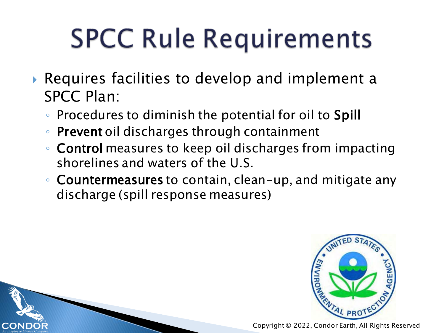- Requires facilities to develop and implement a SPCC Plan:
	- Procedures to diminish the potential for oil to Spill
	- Prevent oil discharges through containment
	- Control measures to keep oil discharges from impacting shorelines and waters of the U.S.
	- Countermeasures to contain, clean-up, and mitigate any discharge (spill response measures)

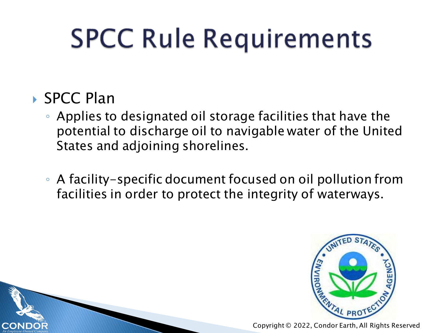#### ▶ SPCC Plan

- Applies to designated oil storage facilities that have the potential to discharge oil to navigable water of the United States and adjoining shorelines.
- A facility-specific document focused on oil pollution from facilities in order to protect the integrity of waterways.

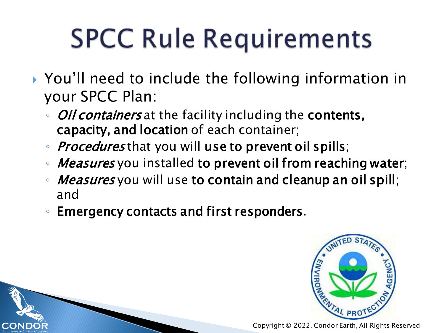- ▶ You'll need to include the following information in your SPCC Plan:
	- *Oil containers* at the facility including the contents, capacity, and location of each container;
	- *Procedures* that you will use to prevent oil spills;
	- *Measures* you installed to prevent oil from reaching water;
	- ∘ *Measures* you will use to contain and cleanup an oil spill; and
	- Emergency contacts and first responders.

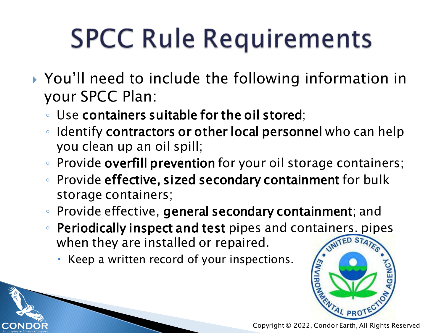- ▶ You'll need to include the following information in your SPCC Plan:
	- Use containers suitable for the oil stored;
	- Identify contractors or other local personnel who can help you clean up an oil spill;
	- Provide overfill prevention for your oil storage containers;
	- Provide effective, sized secondary containment for bulk storage containers;
	- Provide effective, general secondary containment; and
	- Periodically inspect and test pipes and containers. pipes when they are installed or repaired.
		- Keep a written record of your inspections.

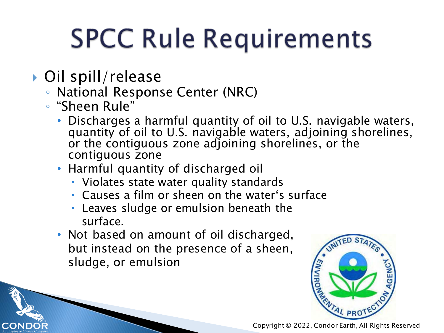- ▶ Oil spill/release
	- National Response Center (NRC)
	- "Sheen Rule"
		- Discharges a harmful quantity of oil to U.S. navigable waters, quantity of oil to U.S. navigable waters, adjoining shorelines, or the contiguous zone adjoining shorelines, or the contiguous zone
		- Harmful quantity of discharged oil
			- Violates state water quality standards
			- Causes a film or sheen on the water's surface
			- Leaves sludge or emulsion beneath the surface.
		- Not based on amount of oil discharged, but instead on the presence of a sheen, sludge, or emulsion

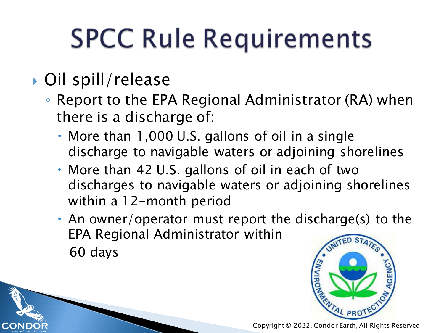#### ▶ Oil spill/release

- Report to the EPA Regional Administrator (RA) when there is a discharge of:
	- More than 1,000 U.S. gallons of oil in a single discharge to navigable waters or adjoining shorelines
	- More than 42 U.S. gallons of oil in each of two discharges to navigable waters or adjoining shorelines within a 12-month period
	- An owner/operator must report the discharge(s) to the EPA Regional Administrator within 60 days

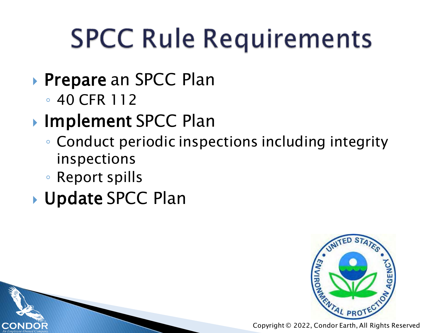- ▶ Prepare an SPCC Plan
	- 40 CFR 112
- ▶ Implement SPCC Plan
	- Conduct periodic inspections including integrity inspections
	- Report spills

CONL

Update SPCC Plan

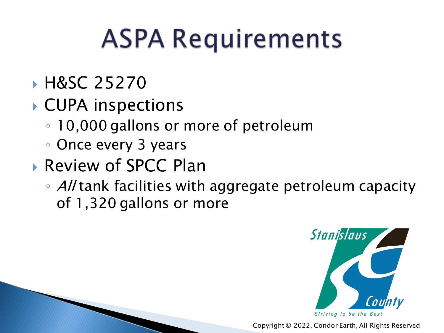#### **H&SC 25270**

- CUPA inspections
	- 10,000 gallons or more of petroleum
	- Once every 3 years
- ▶ Review of SPCC Plan
	- All tank facilities with aggregate petroleum capacity of 1,320 gallons or more

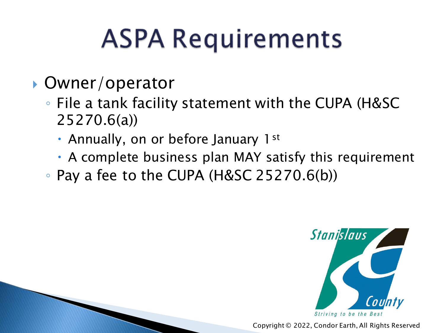- ▶ Owner/operator
	- File a tank facility statement with the CUPA (H&SC 25270.6(a))
		- Annually, on or before January 1st
		- A complete business plan MAY satisfy this requirement
	- Pay a fee to the CUPA (H&SC 25270.6(b))

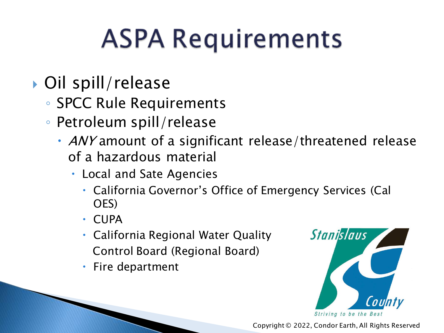- ▶ Oil spill/release
	- SPCC Rule Requirements
	- Petroleum spill/release
		- ANY amount of a significant release/threatened release of a hazardous material
			- Local and Sate Agencies
				- California Governor's Office of Emergency Services (Cal OES)
				- CUPA
				- California Regional Water Quality Control Board (Regional Board)
				- Fire department

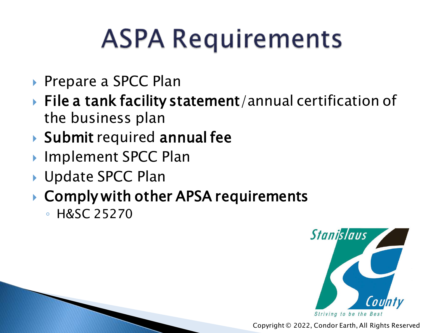- ▶ Prepare a SPCC Plan
- ▶ File a tank facility statement/annual certification of the business plan
- Submit required annual fee
- ▶ Implement SPCC Plan
- ▶ Update SPCC Plan
- ▶ Comply with other APSA requirements
	- H&SC 25270

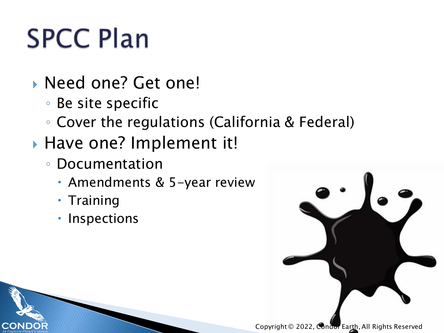# **SPCC Plan**

- **Need one? Get one!** 
	- Be site specific
	- Cover the regulations (California & Federal)
- Have one? Implement it!
	- Documentation
		- Amendments & 5-year review
		- Training

COND

• Inspections

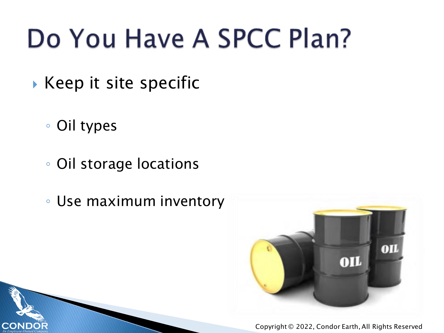### Do You Have A SPCC Plan?

- $\blacktriangleright$  Keep it site specific
	- Oil types

COND

- Oil storage locations
- Use maximum inventory

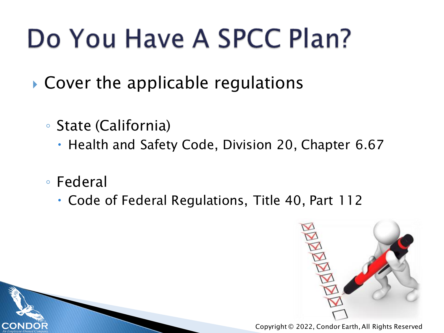### Do You Have A SPCC Plan?

- ▶ Cover the applicable regulations
	- State (California)
		- Health and Safety Code, Division 20, Chapter 6.67
	- Federal

CONE

Code of Federal Regulations, Title 40, Part 112

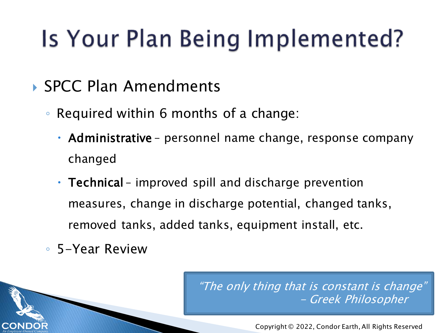#### Is Your Plan Being Implemented?

- ▶ SPCC Plan Amendments
	- Required within 6 months of a change:
		- Administrative personnel name change, response company changed
		- Technical improved spill and discharge prevention measures, change in discharge potential, changed tanks, removed tanks, added tanks, equipment install, etc.
	- 5-Year Review

"The only thing that is constant is change" Greek Philosopher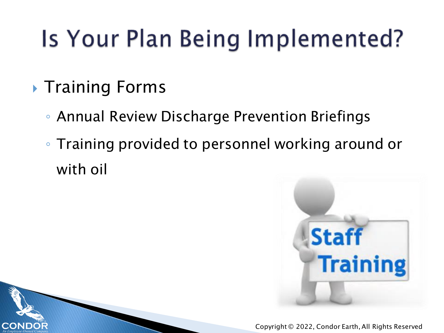#### Is Your Plan Being Implemented?

**Training Forms** 

COND

- Annual Review Discharge Prevention Briefings
- Training provided to personnel working around or with oil

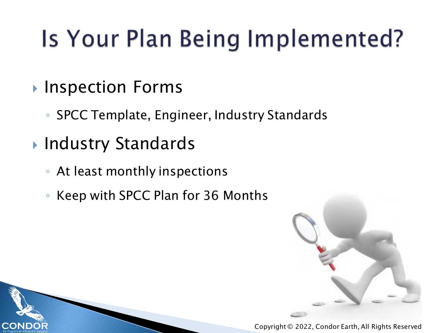#### Is Your Plan Being Implemented?

- **Inspection Forms** 
	- SPCC Template, Engineer, Industry Standards
- ▶ Industry Standards

COND

- At least monthly inspections
- Keep with SPCC Plan for 36 Months

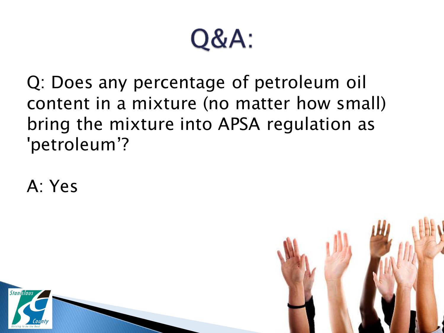

Q: Does any percentage of petroleum oil content in a mixture (no matter how small) bring the mixture into APSA regulation as 'petroleum'?

A: Yes



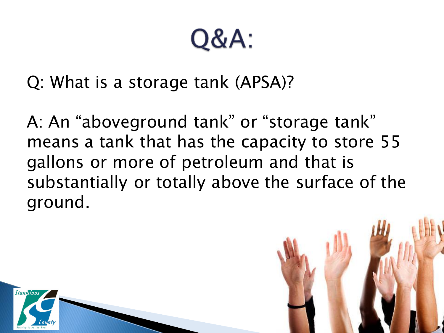**Q&A:** 

Q: What is a storage tank (APSA)?

A: An "aboveground tank" or "storage tank" means a tank that has the capacity to store 55 gallons or more of petroleum and that is substantially or totally above the surface of the ground.



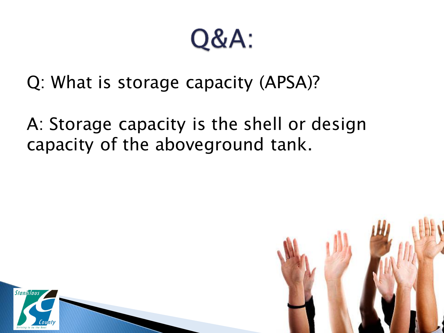Q&A:

Q: What is storage capacity (APSA)?

A: Storage capacity is the shell or design capacity of the aboveground tank.



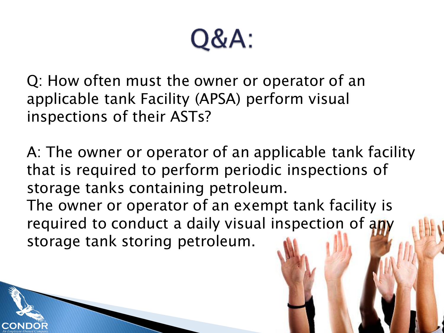Q&A:

Q: How often must the owner or operator of an applicable tank Facility (APSA) perform visual inspections of their ASTs?

A: The owner or operator of an applicable tank facility that is required to perform periodic inspections of storage tanks containing petroleum. The owner or operator of an exempt tank facility is required to conduct a daily visual inspection of any

storage tank storing petroleum.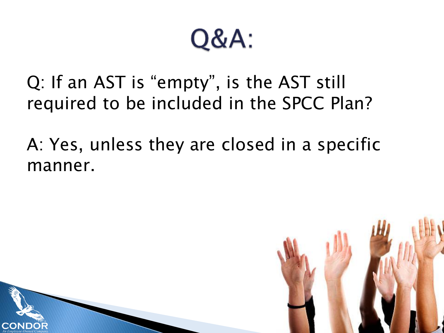#### Q&A:

Q: If an AST is "empty", is the AST still required to be included in the SPCC Plan?

A: Yes, unless they are closed in a specific manner.

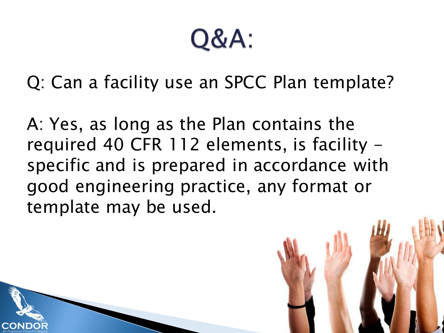Q&A:

Q: Can a facility use an SPCC Plan template?

A: Yes, as long as the Plan contains the required 40 CFR 112 elements, is facility specific and is prepared in accordance with good engineering practice, any format or template may be used.

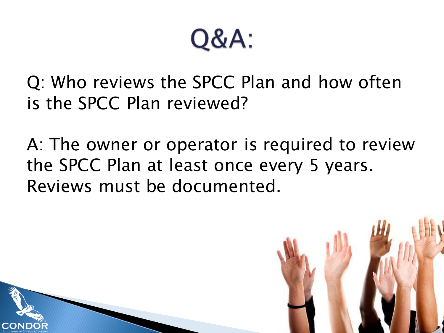Q&A:

Q: Who reviews the SPCC Plan and how often is the SPCC Plan reviewed?

A: The owner or operator is required to review the SPCC Plan at least once every 5 years. Reviews must be documented.

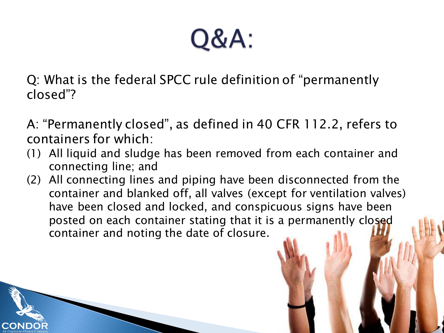Q&A:

Q: What is the federal SPCC rule definition of "permanently closed"?

- A: "Permanently closed", as defined in 40 CFR 112.2, refers to containers for which:
- (1) All liquid and sludge has been removed from each container and connecting line; and
- (2) All connecting lines and piping have been disconnected from the container and blanked off, all valves (except for ventilation valves) have been closed and locked, and conspicuous signs have been posted on each container stating that it is a permanently closed container and noting the date of closure.

COND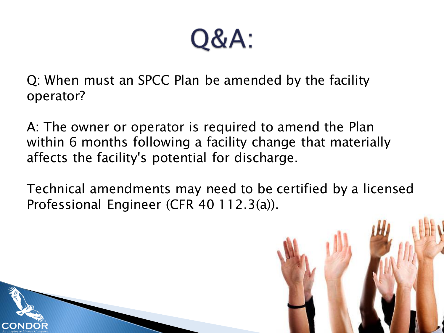Q&A:

Q: When must an SPCC Plan be amended by the facility operator?

A: The owner or operator is required to amend the Plan within 6 months following a facility change that materially affects the facility's potential for discharge.

Technical amendments may need to be certified by a licensed Professional Engineer (CFR 40 112.3(a)).